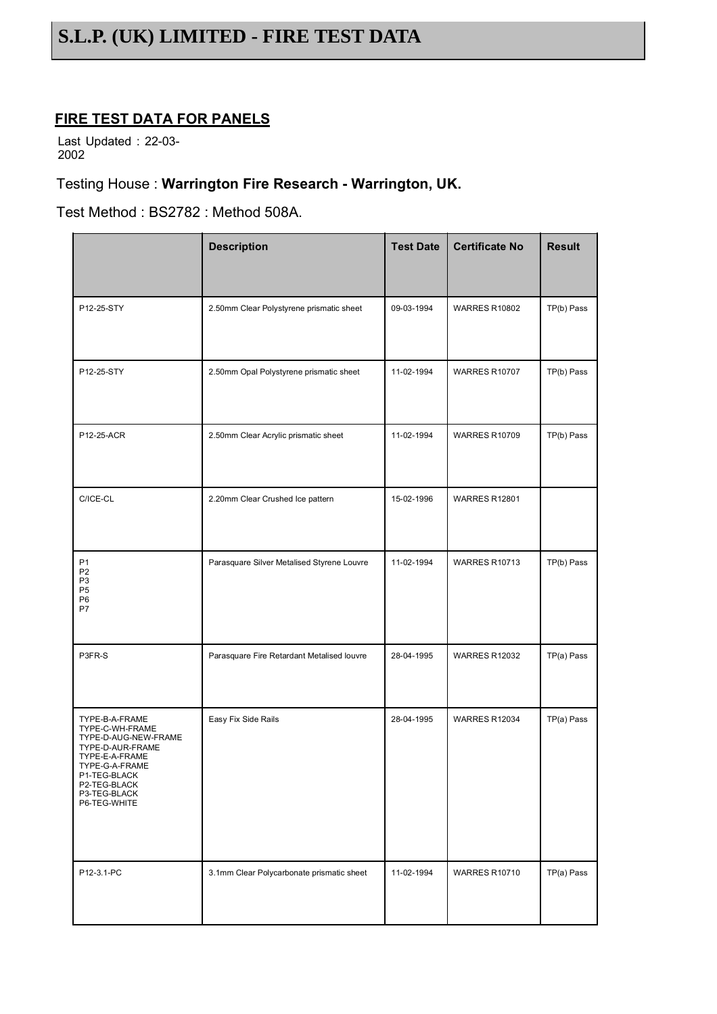## **FIRE TEST DATA FOR PANELS**

Last Updated : 22-03- 2002

#### Testing House : **Warrington Fire Research - Warrington, UK.**

Test Method : BS2782 : Method 508A.

|                                                                                                                                                                                   | <b>Description</b>                         | <b>Test Date</b> | <b>Certificate No</b> | <b>Result</b> |
|-----------------------------------------------------------------------------------------------------------------------------------------------------------------------------------|--------------------------------------------|------------------|-----------------------|---------------|
| P12-25-STY                                                                                                                                                                        | 2.50mm Clear Polystyrene prismatic sheet   | 09-03-1994       | <b>WARRES R10802</b>  | TP(b) Pass    |
| P12-25-STY                                                                                                                                                                        | 2.50mm Opal Polystyrene prismatic sheet    | 11-02-1994       | <b>WARRES R10707</b>  | TP(b) Pass    |
| P12-25-ACR                                                                                                                                                                        | 2.50mm Clear Acrylic prismatic sheet       | 11-02-1994       | <b>WARRES R10709</b>  | TP(b) Pass    |
| C/ICE-CL                                                                                                                                                                          | 2.20mm Clear Crushed Ice pattern           | 15-02-1996       | <b>WARRES R12801</b>  |               |
| P <sub>1</sub><br>P <sub>2</sub><br>P <sub>3</sub><br>P <sub>5</sub><br>P <sub>6</sub><br>P7                                                                                      | Parasquare Silver Metalised Styrene Louvre | 11-02-1994       | <b>WARRES R10713</b>  | TP(b) Pass    |
| P3FR-S                                                                                                                                                                            | Parasquare Fire Retardant Metalised louvre | 28-04-1995       | <b>WARRES R12032</b>  | TP(a) Pass    |
| TYPE-B-A-FRAME<br>TYPE-C-WH-FRAME<br>TYPE-D-AUG-NEW-FRAME<br>TYPE-D-AUR-FRAME<br>TYPE-E-A-FRAME<br>TYPE-G-A-FRAME<br>P1-TEG-BLACK<br>P2-TEG-BLACK<br>P3-TEG-BLACK<br>P6-TEG-WHITE | Easy Fix Side Rails                        | 28-04-1995       | <b>WARRES R12034</b>  | TP(a) Pass    |
| P12-3.1-PC                                                                                                                                                                        | 3.1mm Clear Polycarbonate prismatic sheet  | 11-02-1994       | <b>WARRES R10710</b>  | TP(a) Pass    |